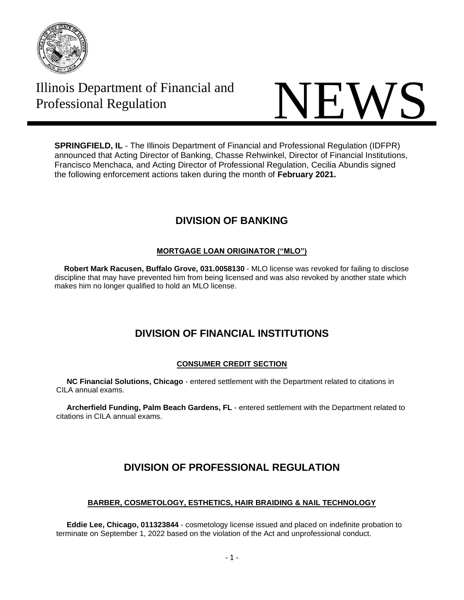

Illinois Department of Financial and



**SPRINGFIELD, IL** - The Illinois Department of Financial and Professional Regulation (IDFPR) announced that Acting Director of Banking, Chasse Rehwinkel, Director of Financial Institutions, Francisco Menchaca, and Acting Director of Professional Regulation, Cecilia Abundis signed the following enforcement actions taken during the month of **February 2021.**

# **DIVISION OF BANKING**

## **MORTGAGE LOAN ORIGINATOR ("MLO")**

 **Robert Mark Racusen, Buffalo Grove, 031.0058130** - MLO license was revoked for failing to disclose discipline that may have prevented him from being licensed and was also revoked by another state which makes him no longer qualified to hold an MLO license.

## **DIVISION OF FINANCIAL INSTITUTIONS**

## **CONSUMER CREDIT SECTION**

 **NC Financial Solutions, Chicago** - entered settlement with the Department related to citations in CILA annual exams.

 **Archerfield Funding, Palm Beach Gardens, FL** - entered settlement with the Department related to citations in CILA annual exams.

# **DIVISION OF PROFESSIONAL REGULATION**

## **BARBER, COSMETOLOGY, ESTHETICS, HAIR BRAIDING & NAIL TECHNOLOGY**

 **Eddie Lee, Chicago, 011323844** - cosmetology license issued and placed on indefinite probation to terminate on September 1, 2022 based on the violation of the Act and unprofessional conduct.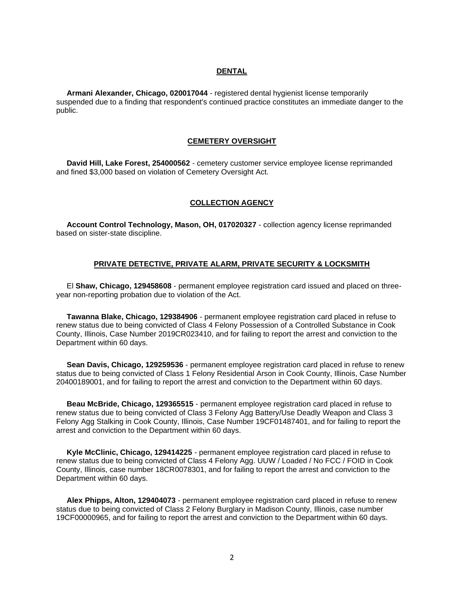#### **DENTAL**

 **Armani Alexander, Chicago, 020017044** - registered dental hygienist license temporarily suspended due to a finding that respondent's continued practice constitutes an immediate danger to the public.

#### **CEMETERY OVERSIGHT**

 **David Hill, Lake Forest, 254000562** - cemetery customer service employee license reprimanded and fined \$3,000 based on violation of Cemetery Oversight Act.

#### **COLLECTION AGENCY**

 **Account Control Technology, Mason, OH, 017020327** - collection agency license reprimanded based on sister-state discipline.

#### **PRIVATE DETECTIVE, PRIVATE ALARM, PRIVATE SECURITY & LOCKSMITH**

 El **Shaw, Chicago, 129458608** - permanent employee registration card issued and placed on threeyear non-reporting probation due to violation of the Act.

 **Tawanna Blake, Chicago, 129384906** - permanent employee registration card placed in refuse to renew status due to being convicted of Class 4 Felony Possession of a Controlled Substance in Cook County, Illinois, Case Number 2019CR023410, and for failing to report the arrest and conviction to the Department within 60 days.

 **Sean Davis, Chicago, 129259536** - permanent employee registration card placed in refuse to renew status due to being convicted of Class 1 Felony Residential Arson in Cook County, Illinois, Case Number 20400189001, and for failing to report the arrest and conviction to the Department within 60 days.

 **Beau McBride, Chicago, 129365515** - permanent employee registration card placed in refuse to renew status due to being convicted of Class 3 Felony Agg Battery/Use Deadly Weapon and Class 3 Felony Agg Stalking in Cook County, Illinois, Case Number 19CF01487401, and for failing to report the arrest and conviction to the Department within 60 days.

 **Kyle McClinic, Chicago, 129414225** - permanent employee registration card placed in refuse to renew status due to being convicted of Class 4 Felony Agg. UUW / Loaded / No FCC / FOID in Cook County, Illinois, case number 18CR0078301, and for failing to report the arrest and conviction to the Department within 60 days.

 **Alex Phipps, Alton, 129404073** - permanent employee registration card placed in refuse to renew status due to being convicted of Class 2 Felony Burglary in Madison County, Illinois, case number 19CF00000965, and for failing to report the arrest and conviction to the Department within 60 days.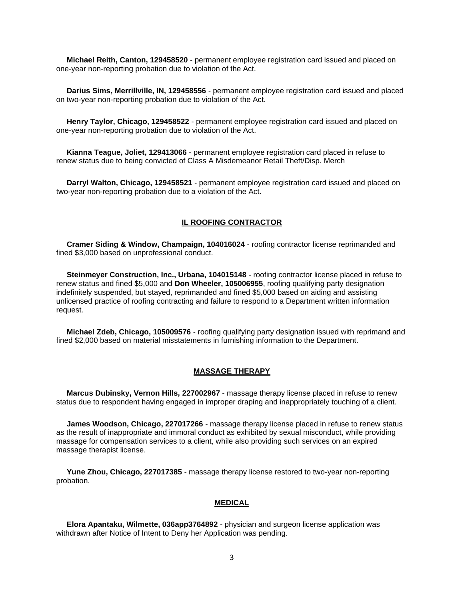**Michael Reith, Canton, 129458520** - permanent employee registration card issued and placed on one-year non-reporting probation due to violation of the Act.

 **Darius Sims, Merrillville, IN, 129458556** - permanent employee registration card issued and placed on two-year non-reporting probation due to violation of the Act.

 **Henry Taylor, Chicago, 129458522** - permanent employee registration card issued and placed on one-year non-reporting probation due to violation of the Act.

 **Kianna Teague, Joliet, 129413066** - permanent employee registration card placed in refuse to renew status due to being convicted of Class A Misdemeanor Retail Theft/Disp. Merch

 **Darryl Walton, Chicago, 129458521** - permanent employee registration card issued and placed on two-year non-reporting probation due to a violation of the Act.

### **IL ROOFING CONTRACTOR**

 **Cramer Siding & Window, Champaign, 104016024** - roofing contractor license reprimanded and fined \$3,000 based on unprofessional conduct.

 **Steinmeyer Construction, Inc., Urbana, 104015148** - roofing contractor license placed in refuse to renew status and fined \$5,000 and **Don Wheeler, 105006955**, roofing qualifying party designation indefinitely suspended, but stayed, reprimanded and fined \$5,000 based on aiding and assisting unlicensed practice of roofing contracting and failure to respond to a Department written information request.

 **Michael Zdeb, Chicago, 105009576** - roofing qualifying party designation issued with reprimand and fined \$2,000 based on material misstatements in furnishing information to the Department.

#### **MASSAGE THERAPY**

 **Marcus Dubinsky, Vernon Hills, 227002967** - massage therapy license placed in refuse to renew status due to respondent having engaged in improper draping and inappropriately touching of a client.

 **James Woodson, Chicago, 227017266** - massage therapy license placed in refuse to renew status as the result of inappropriate and immoral conduct as exhibited by sexual misconduct, while providing massage for compensation services to a client, while also providing such services on an expired massage therapist license.

 **Yune Zhou, Chicago, 227017385** - massage therapy license restored to two-year non-reporting probation.

### **MEDICAL**

 **Elora Apantaku, Wilmette, 036app3764892** - physician and surgeon license application was withdrawn after Notice of Intent to Deny her Application was pending.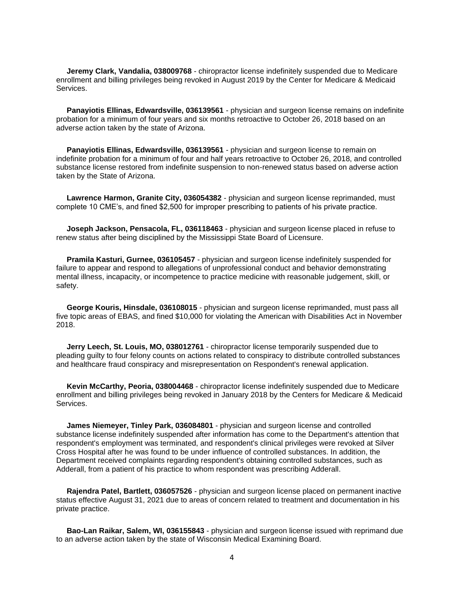**Jeremy Clark, Vandalia, 038009768** - chiropractor license indefinitely suspended due to Medicare enrollment and billing privileges being revoked in August 2019 by the Center for Medicare & Medicaid Services.

 **Panayiotis Ellinas, Edwardsville, 036139561** - physician and surgeon license remains on indefinite probation for a minimum of four years and six months retroactive to October 26, 2018 based on an adverse action taken by the state of Arizona.

 **Panayiotis Ellinas, Edwardsville, 036139561** - physician and surgeon license to remain on indefinite probation for a minimum of four and half years retroactive to October 26, 2018, and controlled substance license restored from indefinite suspension to non-renewed status based on adverse action taken by the State of Arizona.

 **Lawrence Harmon, Granite City, 036054382** - physician and surgeon license reprimanded, must complete 10 CME's, and fined \$2,500 for improper prescribing to patients of his private practice.

 **Joseph Jackson, Pensacola, FL, 036118463** - physician and surgeon license placed in refuse to renew status after being disciplined by the Mississippi State Board of Licensure.

 **Pramila Kasturi, Gurnee, 036105457** - physician and surgeon license indefinitely suspended for failure to appear and respond to allegations of unprofessional conduct and behavior demonstrating mental illness, incapacity, or incompetence to practice medicine with reasonable judgement, skill, or safety.

 **George Kouris, Hinsdale, 036108015** - physician and surgeon license reprimanded, must pass all five topic areas of EBAS, and fined \$10,000 for violating the American with Disabilities Act in November 2018.

 **Jerry Leech, St. Louis, MO, 038012761** - chiropractor license temporarily suspended due to pleading guilty to four felony counts on actions related to conspiracy to distribute controlled substances and healthcare fraud conspiracy and misrepresentation on Respondent's renewal application.

 **Kevin McCarthy, Peoria, 038004468** - chiropractor license indefinitely suspended due to Medicare enrollment and billing privileges being revoked in January 2018 by the Centers for Medicare & Medicaid Services.

 **James Niemeyer, Tinley Park, 036084801** - physician and surgeon license and controlled substance license indefinitely suspended after information has come to the Department's attention that respondent's employment was terminated, and respondent's clinical privileges were revoked at Silver Cross Hospital after he was found to be under influence of controlled substances. In addition, the Department received complaints regarding respondent's obtaining controlled substances, such as Adderall, from a patient of his practice to whom respondent was prescribing Adderall.

 **Rajendra Patel, Bartlett, 036057526** - physician and surgeon license placed on permanent inactive status effective August 31, 2021 due to areas of concern related to treatment and documentation in his private practice.

 **Bao-Lan Raikar, Salem, WI, 036155843** - physician and surgeon license issued with reprimand due to an adverse action taken by the state of Wisconsin Medical Examining Board.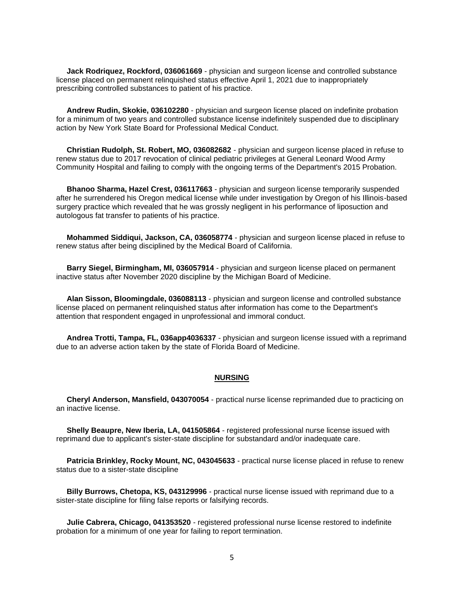**Jack Rodriquez, Rockford, 036061669** - physician and surgeon license and controlled substance license placed on permanent relinquished status effective April 1, 2021 due to inappropriately prescribing controlled substances to patient of his practice.

 **Andrew Rudin, Skokie, 036102280** - physician and surgeon license placed on indefinite probation for a minimum of two years and controlled substance license indefinitely suspended due to disciplinary action by New York State Board for Professional Medical Conduct.

 **Christian Rudolph, St. Robert, MO, 036082682** - physician and surgeon license placed in refuse to renew status due to 2017 revocation of clinical pediatric privileges at General Leonard Wood Army Community Hospital and failing to comply with the ongoing terms of the Department's 2015 Probation.

 **Bhanoo Sharma, Hazel Crest, 036117663** - physician and surgeon license temporarily suspended after he surrendered his Oregon medical license while under investigation by Oregon of his Illinois-based surgery practice which revealed that he was grossly negligent in his performance of liposuction and autologous fat transfer to patients of his practice.

 **Mohammed Siddiqui, Jackson, CA, 036058774** - physician and surgeon license placed in refuse to renew status after being disciplined by the Medical Board of California.

 **Barry Siegel, Birmingham, MI, 036057914** - physician and surgeon license placed on permanent inactive status after November 2020 discipline by the Michigan Board of Medicine.

 **Alan Sisson, Bloomingdale, 036088113** - physician and surgeon license and controlled substance license placed on permanent relinquished status after information has come to the Department's attention that respondent engaged in unprofessional and immoral conduct.

 **Andrea Trotti, Tampa, FL, 036app4036337** - physician and surgeon license issued with a reprimand due to an adverse action taken by the state of Florida Board of Medicine.

#### **NURSING**

 **Cheryl Anderson, Mansfield, 043070054** - practical nurse license reprimanded due to practicing on an inactive license.

**Shelly Beaupre, New Iberia, LA, 041505864** - registered professional nurse license issued with reprimand due to applicant's sister-state discipline for substandard and/or inadequate care.

**Patricia Brinkley, Rocky Mount, NC, 043045633** - practical nurse license placed in refuse to renew status due to a sister-state discipline

 **Billy Burrows, Chetopa, KS, 043129996** - practical nurse license issued with reprimand due to a sister-state discipline for filing false reports or falsifying records.

 **Julie Cabrera, Chicago, 041353520** - registered professional nurse license restored to indefinite probation for a minimum of one year for failing to report termination.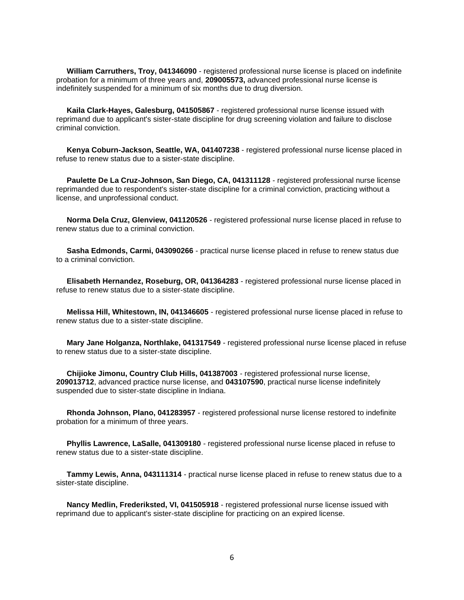**William Carruthers, Troy, 041346090** - registered professional nurse license is placed on indefinite probation for a minimum of three years and, **209005573,** advanced professional nurse license is indefinitely suspended for a minimum of six months due to drug diversion.

 **Kaila Clark-Hayes, Galesburg, 041505867** - registered professional nurse license issued with reprimand due to applicant's sister-state discipline for drug screening violation and failure to disclose criminal conviction.

 **Kenya Coburn-Jackson, Seattle, WA, 041407238** - registered professional nurse license placed in refuse to renew status due to a sister-state discipline.

 **Paulette De La Cruz-Johnson, San Diego, CA, 041311128** - registered professional nurse license reprimanded due to respondent's sister-state discipline for a criminal conviction, practicing without a license, and unprofessional conduct.

 **Norma Dela Cruz, Glenview, 041120526** - registered professional nurse license placed in refuse to renew status due to a criminal conviction.

 **Sasha Edmonds, Carmi, 043090266** - practical nurse license placed in refuse to renew status due to a criminal conviction.

 **Elisabeth Hernandez, Roseburg, OR, 041364283** - registered professional nurse license placed in refuse to renew status due to a sister-state discipline.

 **Melissa Hill, Whitestown, IN, 041346605** - registered professional nurse license placed in refuse to renew status due to a sister-state discipline.

 **Mary Jane Holganza, Northlake, 041317549** - registered professional nurse license placed in refuse to renew status due to a sister-state discipline.

 **Chijioke Jimonu, Country Club Hills, 041387003** - registered professional nurse license, **209013712**, advanced practice nurse license, and **043107590**, practical nurse license indefinitely suspended due to sister-state discipline in Indiana.

 **Rhonda Johnson, Plano, 041283957** - registered professional nurse license restored to indefinite probation for a minimum of three years.

 **Phyllis Lawrence, LaSalle, 041309180** - registered professional nurse license placed in refuse to renew status due to a sister-state discipline.

 **Tammy Lewis, Anna, 043111314** - practical nurse license placed in refuse to renew status due to a sister-state discipline.

 **Nancy Medlin, Frederiksted, VI, 041505918** - registered professional nurse license issued with reprimand due to applicant's sister-state discipline for practicing on an expired license.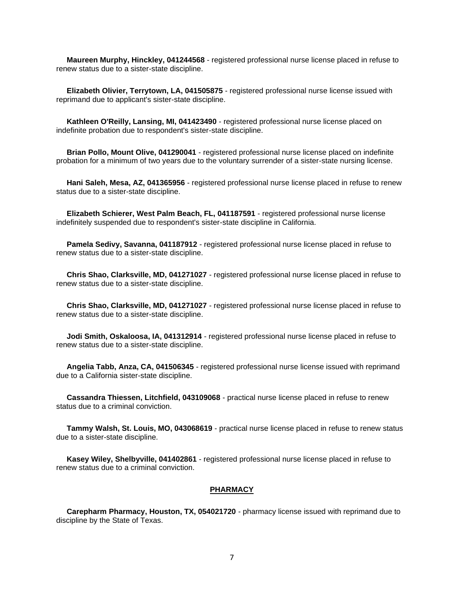**Maureen Murphy, Hinckley, 041244568** - registered professional nurse license placed in refuse to renew status due to a sister-state discipline.

 **Elizabeth Olivier, Terrytown, LA, 041505875** - registered professional nurse license issued with reprimand due to applicant's sister-state discipline.

 **Kathleen O'Reilly, Lansing, MI, 041423490** - registered professional nurse license placed on indefinite probation due to respondent's sister-state discipline.

 **Brian Pollo, Mount Olive, 041290041** - registered professional nurse license placed on indefinite probation for a minimum of two years due to the voluntary surrender of a sister-state nursing license.

 **Hani Saleh, Mesa, AZ, 041365956** - registered professional nurse license placed in refuse to renew status due to a sister-state discipline.

 **Elizabeth Schierer, West Palm Beach, FL, 041187591** - registered professional nurse license indefinitely suspended due to respondent's sister-state discipline in California.

 **Pamela Sedivy, Savanna, 041187912** - registered professional nurse license placed in refuse to renew status due to a sister-state discipline.

 **Chris Shao, Clarksville, MD, 041271027** - registered professional nurse license placed in refuse to renew status due to a sister-state discipline.

 **Chris Shao, Clarksville, MD, 041271027** - registered professional nurse license placed in refuse to renew status due to a sister-state discipline.

 **Jodi Smith, Oskaloosa, IA, 041312914** - registered professional nurse license placed in refuse to renew status due to a sister-state discipline.

 **Angelia Tabb, Anza, CA, 041506345** - registered professional nurse license issued with reprimand due to a California sister-state discipline.

 **Cassandra Thiessen, Litchfield, 043109068** - practical nurse license placed in refuse to renew status due to a criminal conviction.

 **Tammy Walsh, St. Louis, MO, 043068619** - practical nurse license placed in refuse to renew status due to a sister-state discipline.

 **Kasey Wiley, Shelbyville, 041402861** - registered professional nurse license placed in refuse to renew status due to a criminal conviction.

#### **PHARMACY**

 **Carepharm Pharmacy, Houston, TX, 054021720** - pharmacy license issued with reprimand due to discipline by the State of Texas.